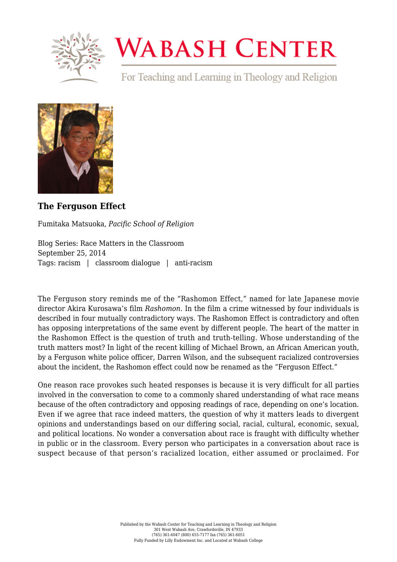

## **WABASH CENTER**

For Teaching and Learning in Theology and Religion



## **[The Ferguson Effect](https://www.wabashcenter.wabash.edu/2014/09/the-ferguson-effect/)**

Fumitaka Matsuoka, *Pacific School of Religion*

Blog Series: Race Matters in the Classroom September 25, 2014 Tags: racism | classroom dialogue | anti-racism

The Ferguson story reminds me of the "Rashomon Effect," named for late Japanese movie director Akira Kurosawa's film *Rashomon.* In the film a crime witnessed by four individuals is described in four mutually contradictory ways. The Rashomon Effect is contradictory and often has opposing interpretations of the same event by different people. The heart of the matter in the Rashomon Effect is the question of truth and truth-telling. Whose understanding of the truth matters most? In light of the recent killing of Michael Brown, an African American youth, by a Ferguson white police officer, Darren Wilson, and the subsequent racialized controversies about the incident, the Rashomon effect could now be renamed as the "Ferguson Effect."

One reason race provokes such heated responses is because it is very difficult for all parties involved in the conversation to come to a commonly shared understanding of what race means because of the often contradictory and opposing readings of race, depending on one's location. Even if we agree that race indeed matters, the question of why it matters leads to divergent opinions and understandings based on our differing social, racial, cultural, economic, sexual, and political locations. No wonder a conversation about race is fraught with difficulty whether in public or in the classroom. Every person who participates in a conversation about race is suspect because of that person's racialized location, either assumed or proclaimed. For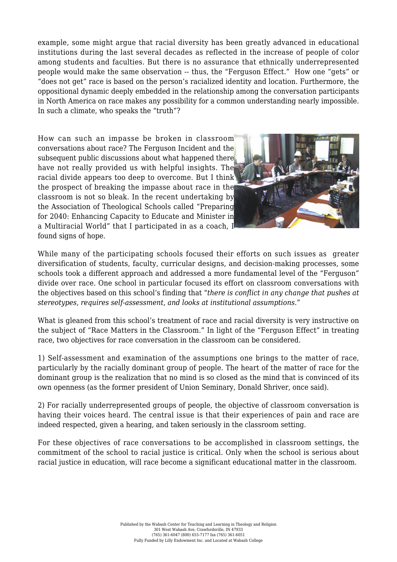example, some might argue that racial diversity has been greatly advanced in educational institutions during the last several decades as reflected in the increase of people of color among students and faculties. But there is no assurance that ethnically underrepresented people would make the same observation -- thus, the "Ferguson Effect." How one "gets" or "does not get" race is based on the person's racialized identity and location. Furthermore, the oppositional dynamic deeply embedded in the relationship among the conversation participants in North America on race makes any possibility for a common understanding nearly impossible. In such a climate, who speaks the "truth"?

How can such an impasse be broken in classroom conversations about race? The Ferguson Incident and the subsequent public discussions about what happened there have not really provided us with helpful insights. The racial divide appears too deep to overcome. But I think the prospect of breaking the impasse about race in the classroom is not so bleak. In the recent undertaking by the Association of Theological Schools called "Preparin[g](http://live-wabash.pantheonsite.io/wp-content/uploads/2016/07/6a016301e4b359970d01bb078cc4ce970d-pi.png) for 2040: Enhancing Capacity to Educate and Minister in a Multiracial World" that I participated in as a coach, I found signs of hope.



While many of the participating schools focused their efforts on such issues as greater diversification of students, faculty, curricular designs, and decision-making processes, some schools took a different approach and addressed a more fundamental level of the "Ferguson" divide over race. One school in particular focused its effort on classroom conversations with the objectives based on this school's finding that "*there is conflict in any change that pushes at stereotypes, requires self-assessment, and looks at institutional assumptions.*"

What is gleaned from this school's treatment of race and racial diversity is very instructive on the subject of "Race Matters in the Classroom." In light of the "Ferguson Effect" in treating race, two objectives for race conversation in the classroom can be considered.

1) Self-assessment and examination of the assumptions one brings to the matter of race, particularly by the racially dominant group of people. The heart of the matter of race for the dominant group is the realization that no mind is so closed as the mind that is convinced of its own openness (as the former president of Union Seminary, Donald Shriver, once said).

2) For racially underrepresented groups of people, the objective of classroom conversation is having their voices heard. The central issue is that their experiences of pain and race are indeed respected, given a hearing, and taken seriously in the classroom setting.

For these objectives of race conversations to be accomplished in classroom settings, the commitment of the school to racial justice is critical. Only when the school is serious about racial justice in education, will race become a significant educational matter in the classroom.